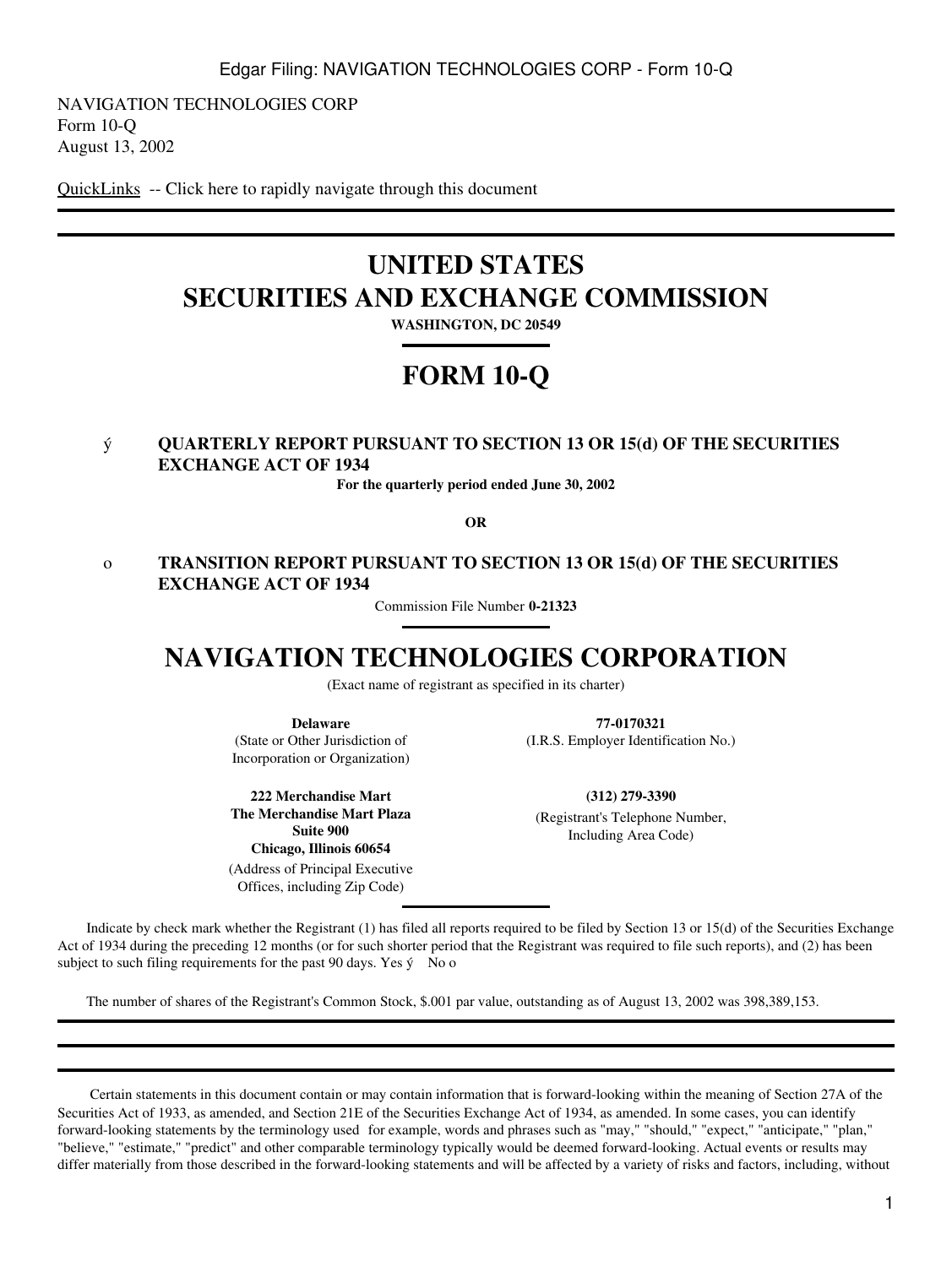NAVIGATION TECHNOLOGIES CORP Form 10-Q August 13, 2002

[QuickLinks](#page-13-0) -- Click here to rapidly navigate through this document

# **UNITED STATES SECURITIES AND EXCHANGE COMMISSION**

**WASHINGTON, DC 20549**

# **FORM 10-Q**

# ý **QUARTERLY REPORT PURSUANT TO SECTION 13 OR 15(d) OF THE SECURITIES EXCHANGE ACT OF 1934**

**For the quarterly period ended June 30, 2002**

**OR**

# o **TRANSITION REPORT PURSUANT TO SECTION 13 OR 15(d) OF THE SECURITIES EXCHANGE ACT OF 1934**

Commission File Number **0-21323**

# **NAVIGATION TECHNOLOGIES CORPORATION**

(Exact name of registrant as specified in its charter)

**Delaware**

(State or Other Jurisdiction of Incorporation or Organization)

**222 Merchandise Mart The Merchandise Mart Plaza Suite 900 Chicago, Illinois 60654**

(Address of Principal Executive Offices, including Zip Code)

**77-0170321**

(I.R.S. Employer Identification No.)

**(312) 279-3390**

(Registrant's Telephone Number, Including Area Code)

 Indicate by check mark whether the Registrant (1) has filed all reports required to be filed by Section 13 or 15(d) of the Securities Exchange Act of 1934 during the preceding 12 months (or for such shorter period that the Registrant was required to file such reports), and (2) has been subject to such filing requirements for the past 90 days. Yes  $\circ$  No o

The number of shares of the Registrant's Common Stock, \$.001 par value, outstanding as of August 13, 2002 was 398,389,153.

 Certain statements in this document contain or may contain information that is forward-looking within the meaning of Section 27A of the Securities Act of 1933, as amended, and Section 21E of the Securities Exchange Act of 1934, as amended. In some cases, you can identify forward-looking statements by the terminology used for example, words and phrases such as "may," "should," "expect," "anticipate," "plan," "believe," "estimate," "predict" and other comparable terminology typically would be deemed forward-looking. Actual events or results may differ materially from those described in the forward-looking statements and will be affected by a variety of risks and factors, including, without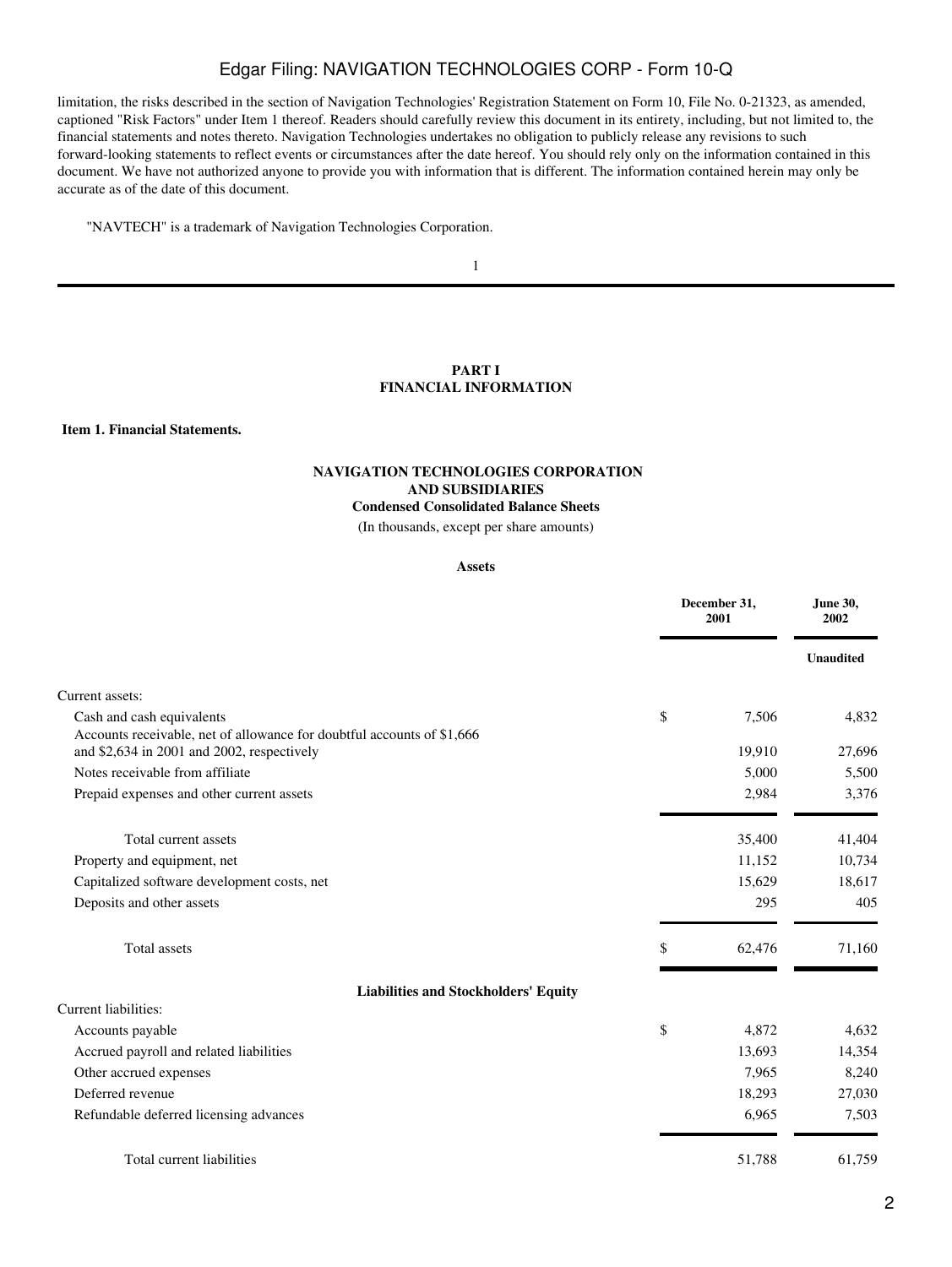limitation, the risks described in the section of Navigation Technologies' Registration Statement on Form 10, File No. 0-21323, as amended, captioned "Risk Factors" under Item 1 thereof. Readers should carefully review this document in its entirety, including, but not limited to, the financial statements and notes thereto. Navigation Technologies undertakes no obligation to publicly release any revisions to such forward-looking statements to reflect events or circumstances after the date hereof. You should rely only on the information contained in this document. We have not authorized anyone to provide you with information that is different. The information contained herein may only be accurate as of the date of this document.

"NAVTECH" is a trademark of Navigation Technologies Corporation.

1

## **PART I FINANCIAL INFORMATION**

<span id="page-1-1"></span><span id="page-1-0"></span>**Item 1. Financial Statements.**

# **NAVIGATION TECHNOLOGIES CORPORATION AND SUBSIDIARIES Condensed Consolidated Balance Sheets**

(In thousands, except per share amounts)

## **Assets**

|                                                                                                                                                   | December 31,<br>2001  |                  |
|---------------------------------------------------------------------------------------------------------------------------------------------------|-----------------------|------------------|
|                                                                                                                                                   |                       | <b>Unaudited</b> |
| Current assets:                                                                                                                                   |                       |                  |
| Cash and cash equivalents<br>Accounts receivable, net of allowance for doubtful accounts of \$1,666<br>and \$2,634 in 2001 and 2002, respectively | \$<br>7,506<br>19,910 | 4,832<br>27,696  |
| Notes receivable from affiliate                                                                                                                   | 5,000                 | 5,500            |
| Prepaid expenses and other current assets                                                                                                         | 2,984                 | 3,376            |
| Total current assets                                                                                                                              | 35,400                | 41,404           |
| Property and equipment, net                                                                                                                       | 11,152                | 10,734           |
| Capitalized software development costs, net                                                                                                       | 15,629                | 18,617           |
| Deposits and other assets                                                                                                                         | 295                   | 405              |
| <b>Total assets</b>                                                                                                                               | \$<br>62,476          | 71,160           |
| <b>Liabilities and Stockholders' Equity</b>                                                                                                       |                       |                  |
| Current liabilities:                                                                                                                              |                       |                  |
| Accounts payable                                                                                                                                  | \$<br>4,872           | 4,632            |
| Accrued payroll and related liabilities                                                                                                           | 13,693                | 14,354           |
| Other accrued expenses                                                                                                                            | 7,965                 | 8,240            |
| Deferred revenue                                                                                                                                  | 18,293                | 27,030           |
| Refundable deferred licensing advances                                                                                                            | 6,965                 | 7,503            |
| Total current liabilities                                                                                                                         | 51,788                | 61,759           |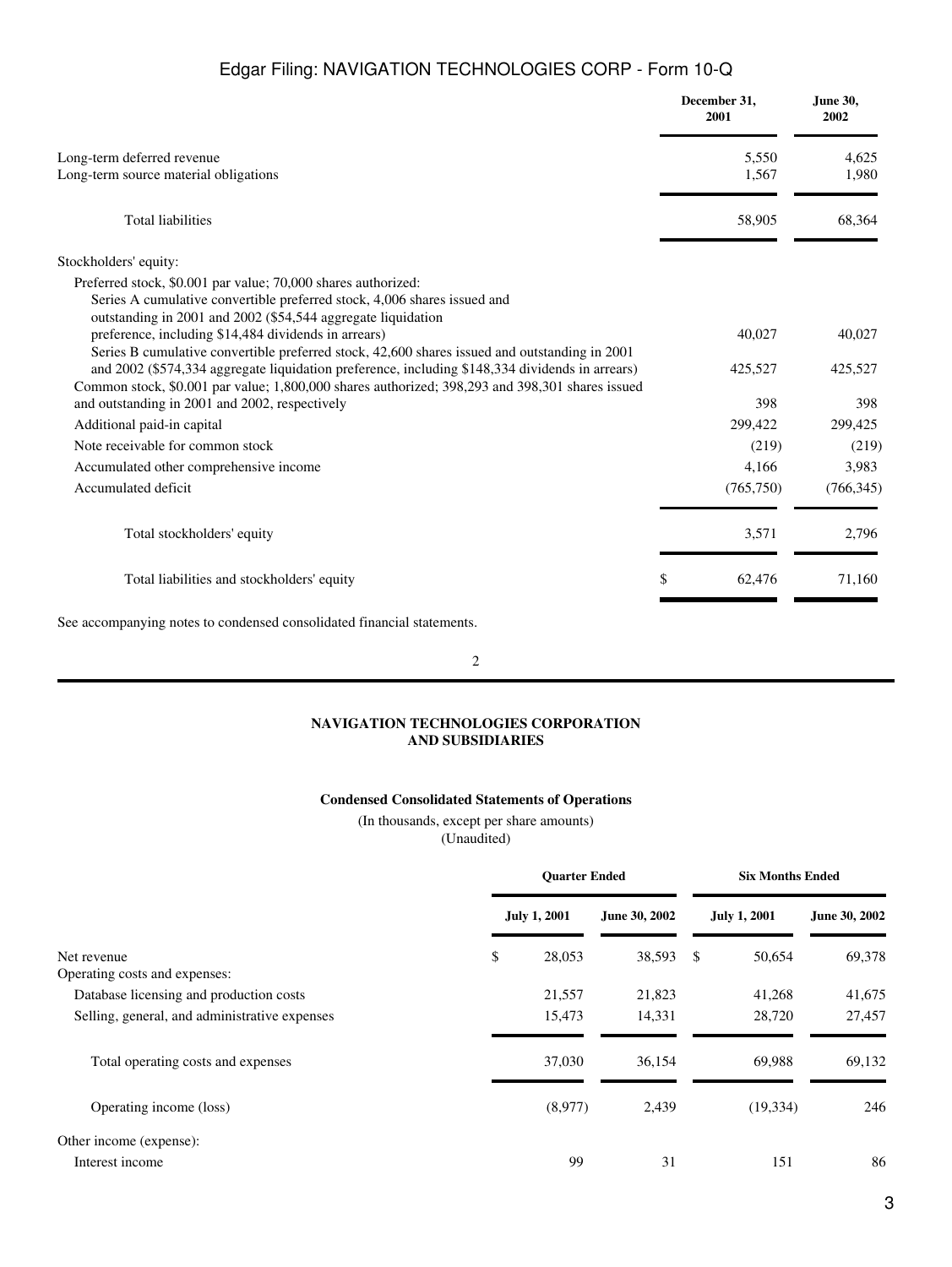|                                                                                                                                                                                                           | December 31,<br>2001 | June 30,<br>2002 |
|-----------------------------------------------------------------------------------------------------------------------------------------------------------------------------------------------------------|----------------------|------------------|
| Long-term deferred revenue                                                                                                                                                                                | 5,550                | 4,625            |
| Long-term source material obligations                                                                                                                                                                     | 1,567                | 1,980            |
| <b>Total liabilities</b>                                                                                                                                                                                  | 58,905               | 68,364           |
| Stockholders' equity:                                                                                                                                                                                     |                      |                  |
| Preferred stock, \$0.001 par value; 70,000 shares authorized:<br>Series A cumulative convertible preferred stock, 4,006 shares issued and<br>outstanding in 2001 and 2002 (\$54,544 aggregate liquidation |                      |                  |
| preference, including \$14,484 dividends in arrears)<br>Series B cumulative convertible preferred stock, 42,600 shares issued and outstanding in 2001                                                     | 40,027               | 40,027           |
| and 2002 (\$574,334 aggregate liquidation preference, including \$148,334 dividends in arrears)<br>Common stock, \$0.001 par value; 1,800,000 shares authorized; 398,293 and 398,301 shares issued        | 425,527              | 425,527          |
| and outstanding in 2001 and 2002, respectively                                                                                                                                                            | 398                  | 398              |
| Additional paid-in capital                                                                                                                                                                                | 299,422              | 299,425          |
| Note receivable for common stock                                                                                                                                                                          | (219)                | (219)            |
| Accumulated other comprehensive income                                                                                                                                                                    | 4.166                | 3,983            |
| Accumulated deficit                                                                                                                                                                                       | (765,750)            | (766, 345)       |
| Total stockholders' equity                                                                                                                                                                                | 3,571                | 2,796            |
| Total liabilities and stockholders' equity                                                                                                                                                                | \$<br>62,476         | 71,160           |

See accompanying notes to condensed consolidated financial statements.

2

# **NAVIGATION TECHNOLOGIES CORPORATION AND SUBSIDIARIES**

# **Condensed Consolidated Statements of Operations**

(In thousands, except per share amounts)

(Unaudited)

<span id="page-2-0"></span>

|                                               | <b>Ouarter Ended</b> |                     |               | <b>Six Months Ended</b> |                     |               |
|-----------------------------------------------|----------------------|---------------------|---------------|-------------------------|---------------------|---------------|
|                                               |                      | <b>July 1, 2001</b> | June 30, 2002 |                         | <b>July 1, 2001</b> | June 30, 2002 |
| Net revenue<br>Operating costs and expenses:  | \$                   | 28,053              | 38,593        | - \$                    | 50,654              | 69,378        |
| Database licensing and production costs       |                      | 21,557              | 21,823        |                         | 41,268              | 41,675        |
| Selling, general, and administrative expenses |                      | 15.473              | 14,331        |                         | 28,720              | 27,457        |
| Total operating costs and expenses            |                      | 37,030              | 36,154        |                         | 69,988              | 69,132        |
| Operating income (loss)                       |                      | (8,977)             | 2,439         |                         | (19, 334)           | 246           |
| Other income (expense):                       |                      |                     |               |                         |                     |               |
| Interest income                               |                      | 99                  | 31            |                         | 151                 | 86            |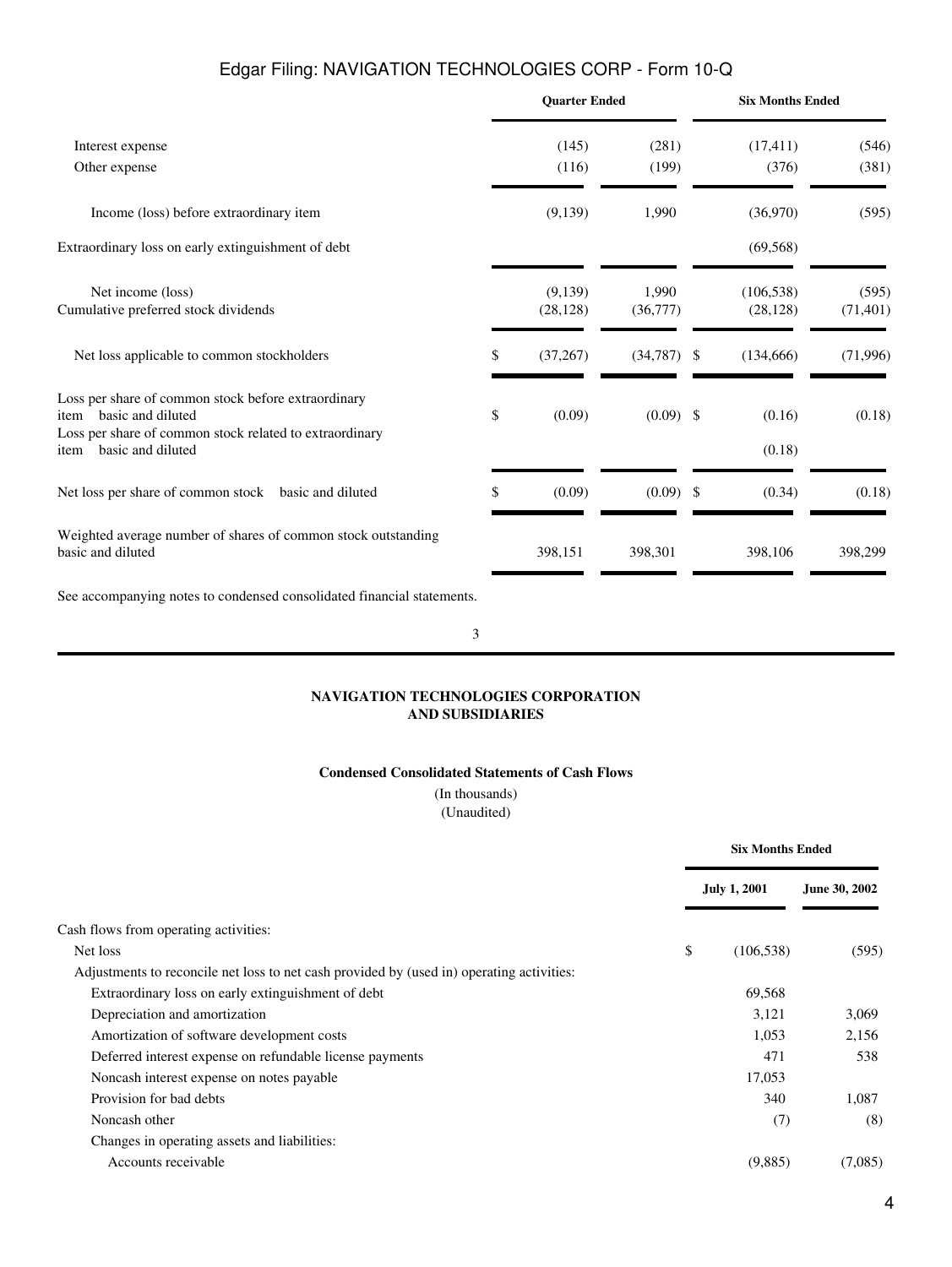|                                                                                                                                                                          |    | <b>Ouarter Ended</b> |                   |               | <b>Six Months Ended</b> |                    |
|--------------------------------------------------------------------------------------------------------------------------------------------------------------------------|----|----------------------|-------------------|---------------|-------------------------|--------------------|
| Interest expense                                                                                                                                                         |    | (145)                | (281)             |               | (17, 411)               | (546)              |
| Other expense                                                                                                                                                            |    | (116)                | (199)             |               | (376)                   | (381)              |
| Income (loss) before extraordinary item                                                                                                                                  |    | (9,139)              | 1,990             |               | (36,970)                | (595)              |
| Extraordinary loss on early extinguishment of debt                                                                                                                       |    |                      |                   |               | (69, 568)               |                    |
| Net income (loss)<br>Cumulative preferred stock dividends                                                                                                                |    | (9,139)<br>(28, 128) | 1,990<br>(36,777) |               | (106, 538)<br>(28, 128) | (595)<br>(71, 401) |
| Net loss applicable to common stockholders                                                                                                                               | \$ | (37,267)             | (34, 787)         | \$            | (134,666)               | (71,996)           |
| Loss per share of common stock before extraordinary<br>basic and diluted<br>item<br>Loss per share of common stock related to extraordinary<br>basic and diluted<br>item | \$ | (0.09)               | $(0.09)$ \$       |               | (0.16)<br>(0.18)        | (0.18)             |
| Net loss per share of common stock basic and diluted                                                                                                                     | \$ | (0.09)               | (0.09)            | <sup>\$</sup> | (0.34)                  | (0.18)             |
| Weighted average number of shares of common stock outstanding<br>basic and diluted                                                                                       |    | 398,151              | 398,301           |               | 398,106                 | 398,299            |
| See accompanying notes to condensed consolidated financial statements.                                                                                                   |    |                      |                   |               |                         |                    |

3

## **NAVIGATION TECHNOLOGIES CORPORATION AND SUBSIDIARIES**

## **Condensed Consolidated Statements of Cash Flows**

(In thousands) (Unaudited)

<span id="page-3-0"></span>

|                                                                                           | <b>Six Months Ended</b> |                     |               |
|-------------------------------------------------------------------------------------------|-------------------------|---------------------|---------------|
|                                                                                           |                         | <b>July 1, 2001</b> | June 30, 2002 |
| Cash flows from operating activities:                                                     |                         |                     |               |
| Net loss                                                                                  | \$                      | (106, 538)          | (595)         |
| Adjustments to reconcile net loss to net cash provided by (used in) operating activities: |                         |                     |               |
| Extraordinary loss on early extinguishment of debt                                        |                         | 69,568              |               |
| Depreciation and amortization                                                             |                         | 3,121               | 3.069         |
| Amortization of software development costs                                                |                         | 1,053               | 2,156         |
| Deferred interest expense on refundable license payments                                  |                         | 471                 | 538           |
| Noncash interest expense on notes payable                                                 |                         | 17,053              |               |
| Provision for bad debts                                                                   |                         | 340                 | 1,087         |
| Noncash other                                                                             |                         | (7)                 | (8)           |
| Changes in operating assets and liabilities:                                              |                         |                     |               |
| Accounts receivable                                                                       |                         | (9,885)             | (7,085)       |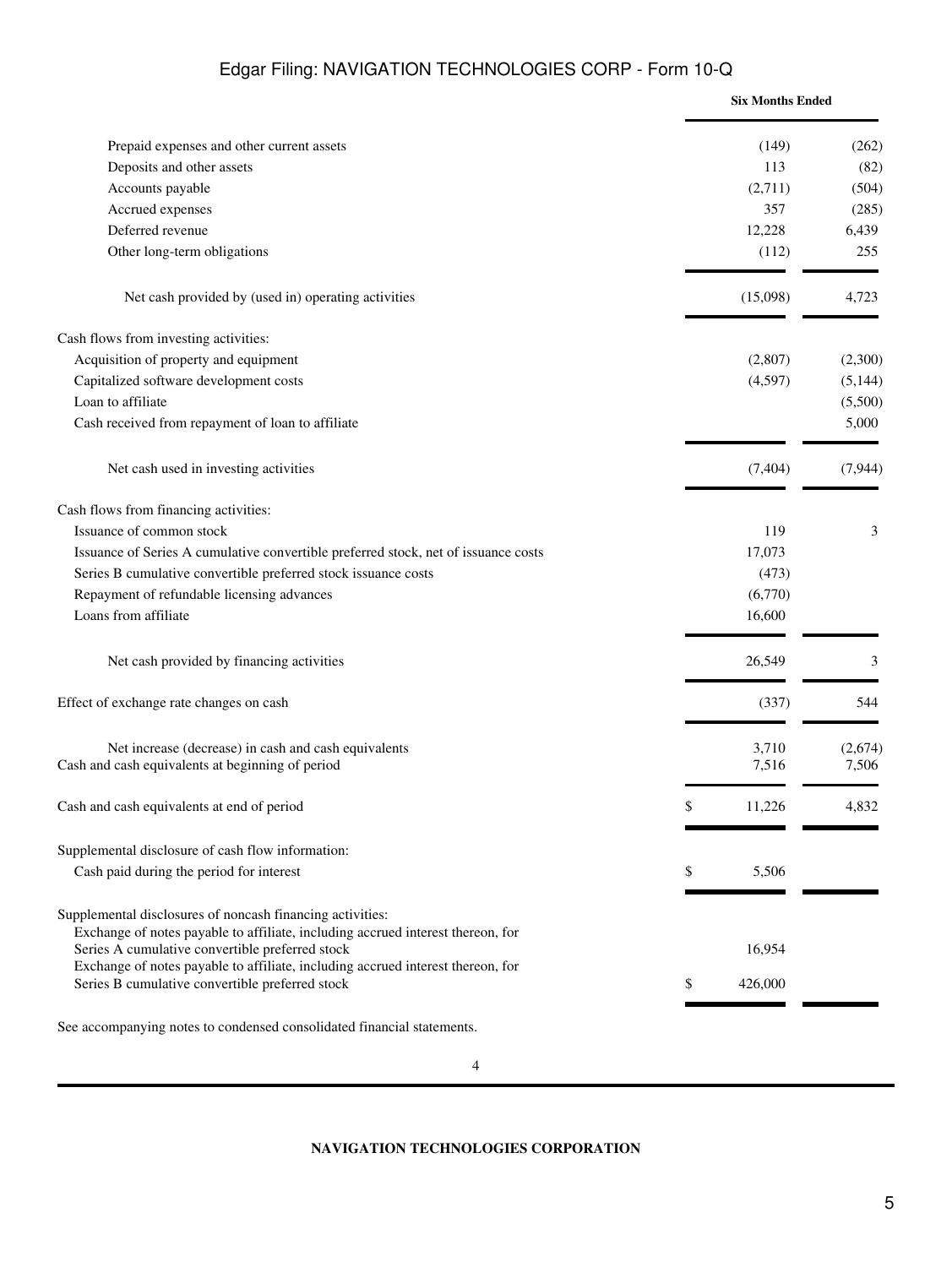|                                                                                                                                                                                                 | <b>Six Months Ended</b> |          |
|-------------------------------------------------------------------------------------------------------------------------------------------------------------------------------------------------|-------------------------|----------|
| Prepaid expenses and other current assets                                                                                                                                                       | (149)                   | (262)    |
| Deposits and other assets                                                                                                                                                                       | 113                     | (82)     |
| Accounts payable                                                                                                                                                                                | (2,711)                 | (504)    |
| Accrued expenses                                                                                                                                                                                | 357                     | (285)    |
| Deferred revenue                                                                                                                                                                                | 12,228                  | 6,439    |
| Other long-term obligations                                                                                                                                                                     | (112)                   | 255      |
| Net cash provided by (used in) operating activities                                                                                                                                             | (15,098)                | 4,723    |
| Cash flows from investing activities:                                                                                                                                                           |                         |          |
| Acquisition of property and equipment                                                                                                                                                           | (2,807)                 | (2,300)  |
| Capitalized software development costs                                                                                                                                                          | (4,597)                 | (5,144)  |
| Loan to affiliate                                                                                                                                                                               |                         | (5,500)  |
| Cash received from repayment of loan to affiliate                                                                                                                                               |                         | 5,000    |
| Net cash used in investing activities                                                                                                                                                           | (7, 404)                | (7, 944) |
| Cash flows from financing activities:                                                                                                                                                           |                         |          |
| Issuance of common stock                                                                                                                                                                        | 119                     | 3        |
| Issuance of Series A cumulative convertible preferred stock, net of issuance costs                                                                                                              | 17,073                  |          |
| Series B cumulative convertible preferred stock issuance costs                                                                                                                                  | (473)                   |          |
| Repayment of refundable licensing advances                                                                                                                                                      | (6,770)                 |          |
| Loans from affiliate                                                                                                                                                                            | 16,600                  |          |
| Net cash provided by financing activities                                                                                                                                                       | 26,549                  | 3        |
| Effect of exchange rate changes on cash                                                                                                                                                         | (337)                   | 544      |
| Net increase (decrease) in cash and cash equivalents                                                                                                                                            | 3,710                   | (2,674)  |
| Cash and cash equivalents at beginning of period                                                                                                                                                | 7,516                   | 7,506    |
| Cash and cash equivalents at end of period                                                                                                                                                      | \$<br>11,226            | 4,832    |
| Supplemental disclosure of cash flow information:                                                                                                                                               |                         |          |
| Cash paid during the period for interest                                                                                                                                                        | \$<br>5,506             |          |
| Supplemental disclosures of noncash financing activities:<br>Exchange of notes payable to affiliate, including accrued interest thereon, for<br>Series A cumulative convertible preferred stock | 16,954                  |          |
| Exchange of notes payable to affiliate, including accrued interest thereon, for<br>Series B cumulative convertible preferred stock                                                              | \$<br>426,000           |          |

<span id="page-4-0"></span>See accompanying notes to condensed consolidated financial statements.

**NAVIGATION TECHNOLOGIES CORPORATION**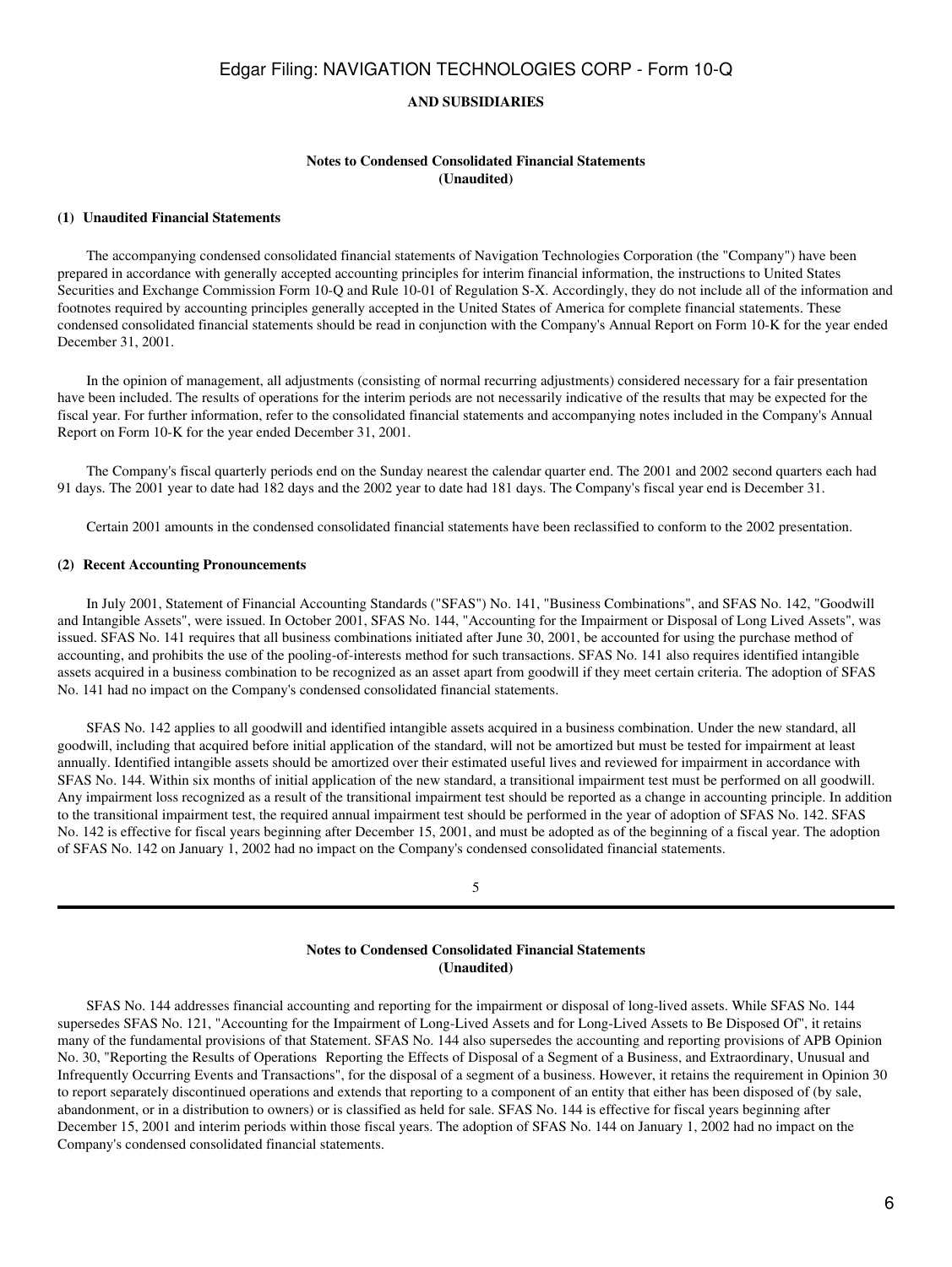### **AND SUBSIDIARIES**

## **Notes to Condensed Consolidated Financial Statements (Unaudited)**

## <span id="page-5-0"></span>**(1)Unaudited Financial Statements**

 The accompanying condensed consolidated financial statements of Navigation Technologies Corporation (the "Company") have been prepared in accordance with generally accepted accounting principles for interim financial information, the instructions to United States Securities and Exchange Commission Form 10-Q and Rule 10-01 of Regulation S-X. Accordingly, they do not include all of the information and footnotes required by accounting principles generally accepted in the United States of America for complete financial statements. These condensed consolidated financial statements should be read in conjunction with the Company's Annual Report on Form 10-K for the year ended December 31, 2001.

 In the opinion of management, all adjustments (consisting of normal recurring adjustments) considered necessary for a fair presentation have been included. The results of operations for the interim periods are not necessarily indicative of the results that may be expected for the fiscal year. For further information, refer to the consolidated financial statements and accompanying notes included in the Company's Annual Report on Form 10-K for the year ended December 31, 2001.

 The Company's fiscal quarterly periods end on the Sunday nearest the calendar quarter end. The 2001 and 2002 second quarters each had 91 days. The 2001 year to date had 182 days and the 2002 year to date had 181 days. The Company's fiscal year end is December 31.

Certain 2001 amounts in the condensed consolidated financial statements have been reclassified to conform to the 2002 presentation.

#### **(2)Recent Accounting Pronouncements**

 In July 2001, Statement of Financial Accounting Standards ("SFAS") No. 141, "Business Combinations", and SFAS No. 142, "Goodwill and Intangible Assets", were issued. In October 2001, SFAS No. 144, "Accounting for the Impairment or Disposal of Long Lived Assets", was issued. SFAS No. 141 requires that all business combinations initiated after June 30, 2001, be accounted for using the purchase method of accounting, and prohibits the use of the pooling-of-interests method for such transactions. SFAS No. 141 also requires identified intangible assets acquired in a business combination to be recognized as an asset apart from goodwill if they meet certain criteria. The adoption of SFAS No. 141 had no impact on the Company's condensed consolidated financial statements.

 SFAS No. 142 applies to all goodwill and identified intangible assets acquired in a business combination. Under the new standard, all goodwill, including that acquired before initial application of the standard, will not be amortized but must be tested for impairment at least annually. Identified intangible assets should be amortized over their estimated useful lives and reviewed for impairment in accordance with SFAS No. 144. Within six months of initial application of the new standard, a transitional impairment test must be performed on all goodwill. Any impairment loss recognized as a result of the transitional impairment test should be reported as a change in accounting principle. In addition to the transitional impairment test, the required annual impairment test should be performed in the year of adoption of SFAS No. 142. SFAS No. 142 is effective for fiscal years beginning after December 15, 2001, and must be adopted as of the beginning of a fiscal year. The adoption of SFAS No. 142 on January 1, 2002 had no impact on the Company's condensed consolidated financial statements.

5

# **Notes to Condensed Consolidated Financial Statements (Unaudited)**

 SFAS No. 144 addresses financial accounting and reporting for the impairment or disposal of long-lived assets. While SFAS No. 144 supersedes SFAS No. 121, "Accounting for the Impairment of Long-Lived Assets and for Long-Lived Assets to Be Disposed Of", it retains many of the fundamental provisions of that Statement. SFAS No. 144 also supersedes the accounting and reporting provisions of APB Opinion No. 30, "Reporting the Results of Operations Reporting the Effects of Disposal of a Segment of a Business, and Extraordinary, Unusual and Infrequently Occurring Events and Transactions", for the disposal of a segment of a business. However, it retains the requirement in Opinion 30 to report separately discontinued operations and extends that reporting to a component of an entity that either has been disposed of (by sale, abandonment, or in a distribution to owners) or is classified as held for sale. SFAS No. 144 is effective for fiscal years beginning after December 15, 2001 and interim periods within those fiscal years. The adoption of SFAS No. 144 on January 1, 2002 had no impact on the Company's condensed consolidated financial statements.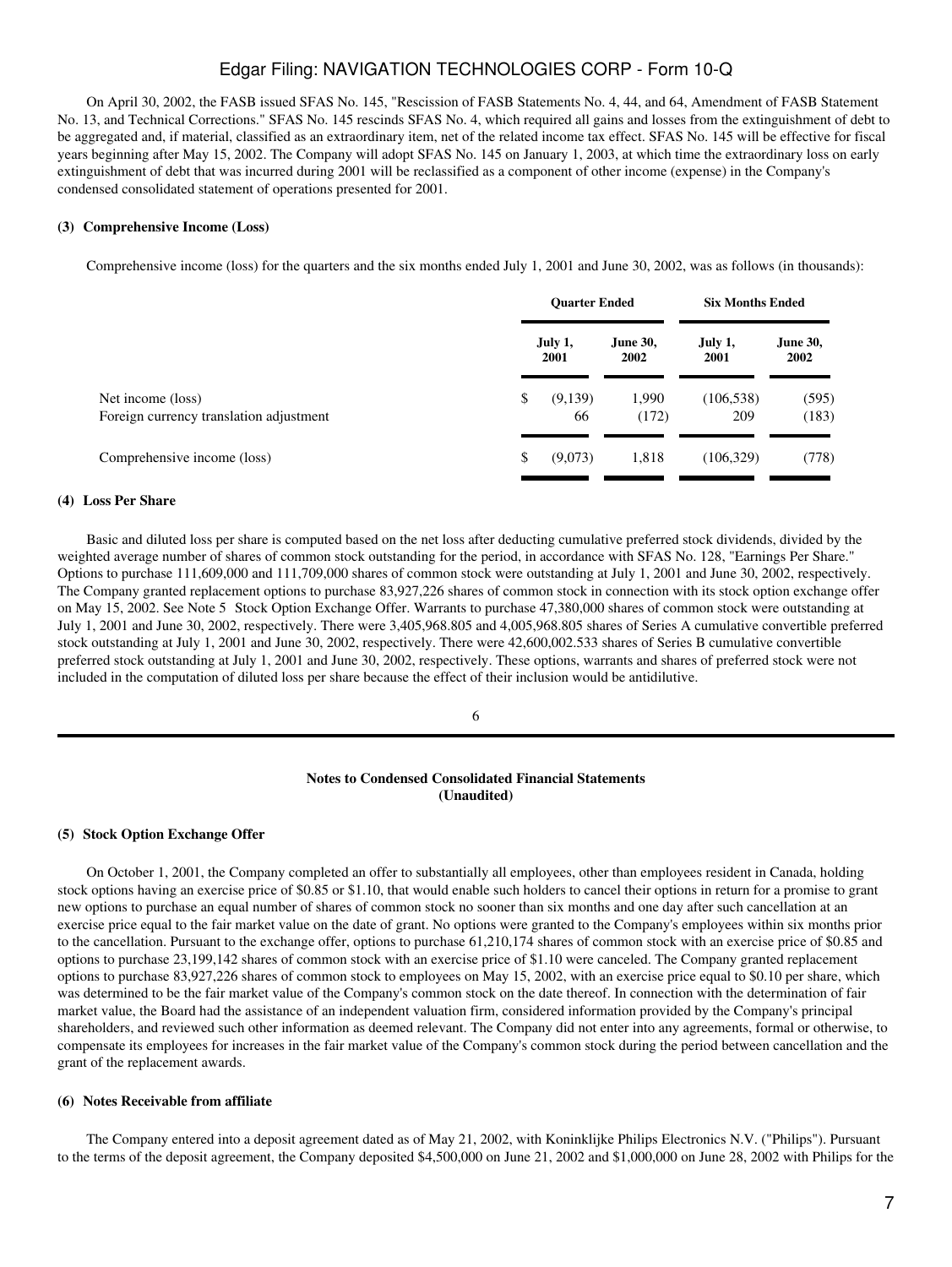On April 30, 2002, the FASB issued SFAS No. 145, "Rescission of FASB Statements No. 4, 44, and 64, Amendment of FASB Statement No. 13, and Technical Corrections." SFAS No. 145 rescinds SFAS No. 4, which required all gains and losses from the extinguishment of debt to be aggregated and, if material, classified as an extraordinary item, net of the related income tax effect. SFAS No. 145 will be effective for fiscal years beginning after May 15, 2002. The Company will adopt SFAS No. 145 on January 1, 2003, at which time the extraordinary loss on early extinguishment of debt that was incurred during 2001 will be reclassified as a component of other income (expense) in the Company's condensed consolidated statement of operations presented for 2001.

#### **(3)Comprehensive Income (Loss)**

Comprehensive income (loss) for the quarters and the six months ended July 1, 2001 and June 30, 2002, was as follows (in thousands):

|                                                              | <b>Ouarter Ended</b> |                  | <b>Six Months Ended</b> |                         |
|--------------------------------------------------------------|----------------------|------------------|-------------------------|-------------------------|
|                                                              | July 1,<br>2001      | June 30,<br>2002 | July 1,<br>2001         | <b>June 30,</b><br>2002 |
| Net income (loss)<br>Foreign currency translation adjustment | \$<br>(9,139)<br>66  | 1,990<br>(172)   | (106, 538)<br>209       | (595)<br>(183)          |
| Comprehensive income (loss)                                  | \$<br>(9,073)        | 1,818            | (106, 329)              | (778)                   |

## **(4)Loss Per Share**

 Basic and diluted loss per share is computed based on the net loss after deducting cumulative preferred stock dividends, divided by the weighted average number of shares of common stock outstanding for the period, in accordance with SFAS No. 128, "Earnings Per Share." Options to purchase 111,609,000 and 111,709,000 shares of common stock were outstanding at July 1, 2001 and June 30, 2002, respectively. The Company granted replacement options to purchase 83,927,226 shares of common stock in connection with its stock option exchange offer on May 15, 2002. See Note 5 Stock Option Exchange Offer. Warrants to purchase 47,380,000 shares of common stock were outstanding at July 1, 2001 and June 30, 2002, respectively. There were 3,405,968.805 and 4,005,968.805 shares of Series A cumulative convertible preferred stock outstanding at July 1, 2001 and June 30, 2002, respectively. There were 42,600,002.533 shares of Series B cumulative convertible preferred stock outstanding at July 1, 2001 and June 30, 2002, respectively. These options, warrants and shares of preferred stock were not included in the computation of diluted loss per share because the effect of their inclusion would be antidilutive.

## 6

## **Notes to Condensed Consolidated Financial Statements (Unaudited)**

#### **(5) Stock Option Exchange Offer**

 On October 1, 2001, the Company completed an offer to substantially all employees, other than employees resident in Canada, holding stock options having an exercise price of \$0.85 or \$1.10, that would enable such holders to cancel their options in return for a promise to grant new options to purchase an equal number of shares of common stock no sooner than six months and one day after such cancellation at an exercise price equal to the fair market value on the date of grant. No options were granted to the Company's employees within six months prior to the cancellation. Pursuant to the exchange offer, options to purchase 61,210,174 shares of common stock with an exercise price of \$0.85 and options to purchase 23,199,142 shares of common stock with an exercise price of \$1.10 were canceled. The Company granted replacement options to purchase 83,927,226 shares of common stock to employees on May 15, 2002, with an exercise price equal to \$0.10 per share, which was determined to be the fair market value of the Company's common stock on the date thereof. In connection with the determination of fair market value, the Board had the assistance of an independent valuation firm, considered information provided by the Company's principal shareholders, and reviewed such other information as deemed relevant. The Company did not enter into any agreements, formal or otherwise, to compensate its employees for increases in the fair market value of the Company's common stock during the period between cancellation and the grant of the replacement awards.

#### **(6) Notes Receivable from affiliate**

 The Company entered into a deposit agreement dated as of May 21, 2002, with Koninklijke Philips Electronics N.V. ("Philips"). Pursuant to the terms of the deposit agreement, the Company deposited \$4,500,000 on June 21, 2002 and \$1,000,000 on June 28, 2002 with Philips for the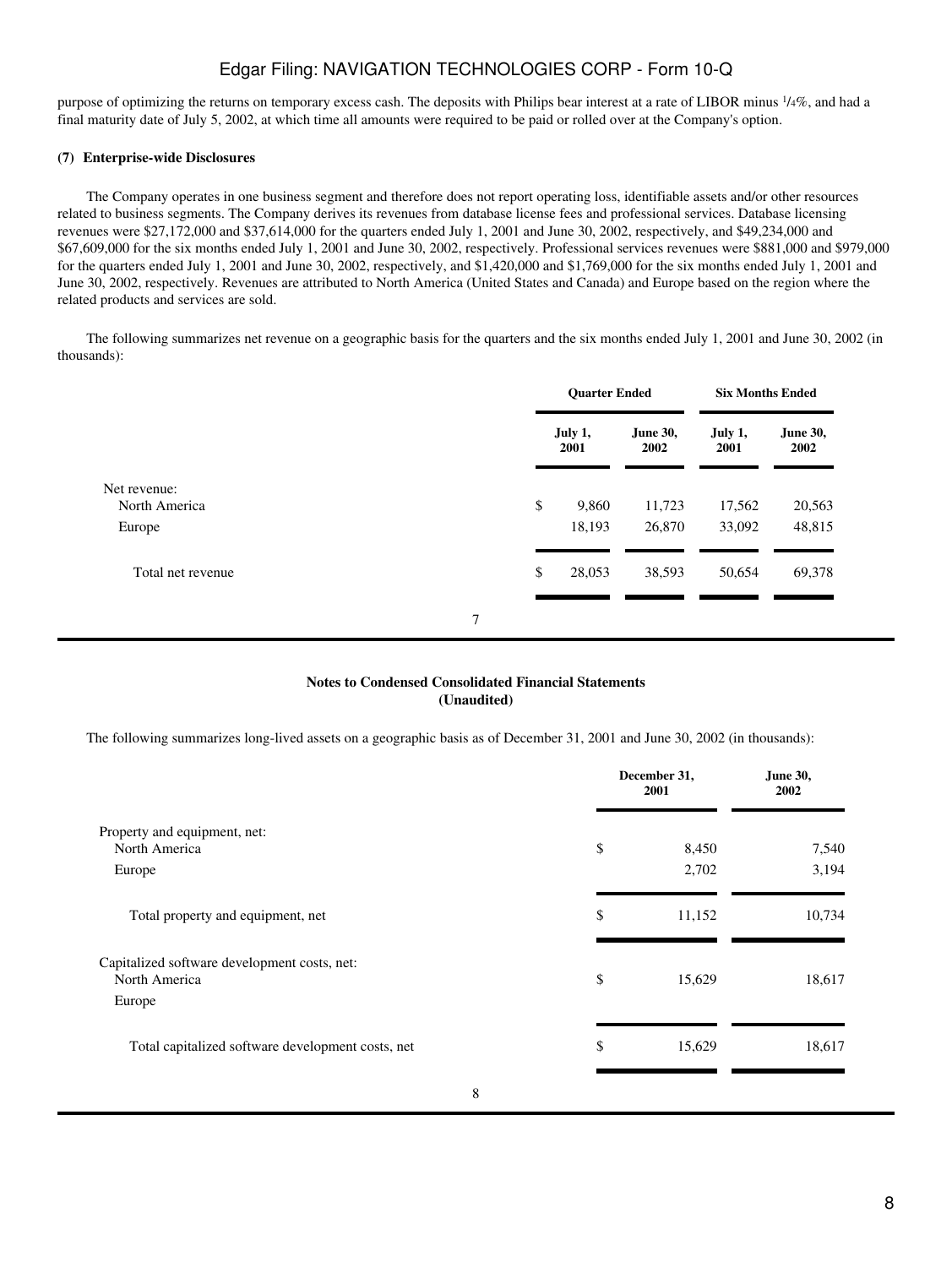purpose of optimizing the returns on temporary excess cash. The deposits with Philips bear interest at a rate of LIBOR minus 1/4%, and had a final maturity date of July 5, 2002, at which time all amounts were required to be paid or rolled over at the Company's option.

# **(7)Enterprise-wide Disclosures**

 The Company operates in one business segment and therefore does not report operating loss, identifiable assets and/or other resources related to business segments. The Company derives its revenues from database license fees and professional services. Database licensing revenues were \$27,172,000 and \$37,614,000 for the quarters ended July 1, 2001 and June 30, 2002, respectively, and \$49,234,000 and \$67,609,000 for the six months ended July 1, 2001 and June 30, 2002, respectively. Professional services revenues were \$881,000 and \$979,000 for the quarters ended July 1, 2001 and June 30, 2002, respectively, and \$1,420,000 and \$1,769,000 for the six months ended July 1, 2001 and June 30, 2002, respectively. Revenues are attributed to North America (United States and Canada) and Europe based on the region where the related products and services are sold.

 The following summarizes net revenue on a geographic basis for the quarters and the six months ended July 1, 2001 and June 30, 2002 (in thousands):

|                   |   | <b>Quarter Ended</b> |                 | <b>Six Months Ended</b> |                 |                  |
|-------------------|---|----------------------|-----------------|-------------------------|-----------------|------------------|
|                   |   |                      | July 1,<br>2001 | June 30,<br>2002        | July 1,<br>2001 | June 30,<br>2002 |
| Net revenue:      |   |                      |                 |                         |                 |                  |
| North America     |   | \$                   | 9,860           | 11,723                  | 17,562          | 20,563           |
| Europe            |   |                      | 18,193          | 26,870                  | 33,092          | 48,815           |
| Total net revenue |   | \$                   | 28,053          | 38,593                  | 50,654          | 69,378           |
|                   | 7 |                      |                 |                         |                 |                  |

## **Notes to Condensed Consolidated Financial Statements (Unaudited)**

The following summarizes long-lived assets on a geographic basis as of December 31, 2001 and June 30, 2002 (in thousands):

|                                                               | December 31,<br>2001 | June 30,<br>2002 |
|---------------------------------------------------------------|----------------------|------------------|
| Property and equipment, net:                                  |                      |                  |
| North America                                                 | \$<br>8,450          | 7,540            |
| Europe                                                        | 2,702                | 3,194            |
| Total property and equipment, net                             | \$<br>11,152         | 10,734           |
| Capitalized software development costs, net:<br>North America | \$<br>15,629         | 18,617           |
| Europe                                                        |                      |                  |
| Total capitalized software development costs, net             | \$<br>15,629         | 18,617           |
| 8                                                             |                      |                  |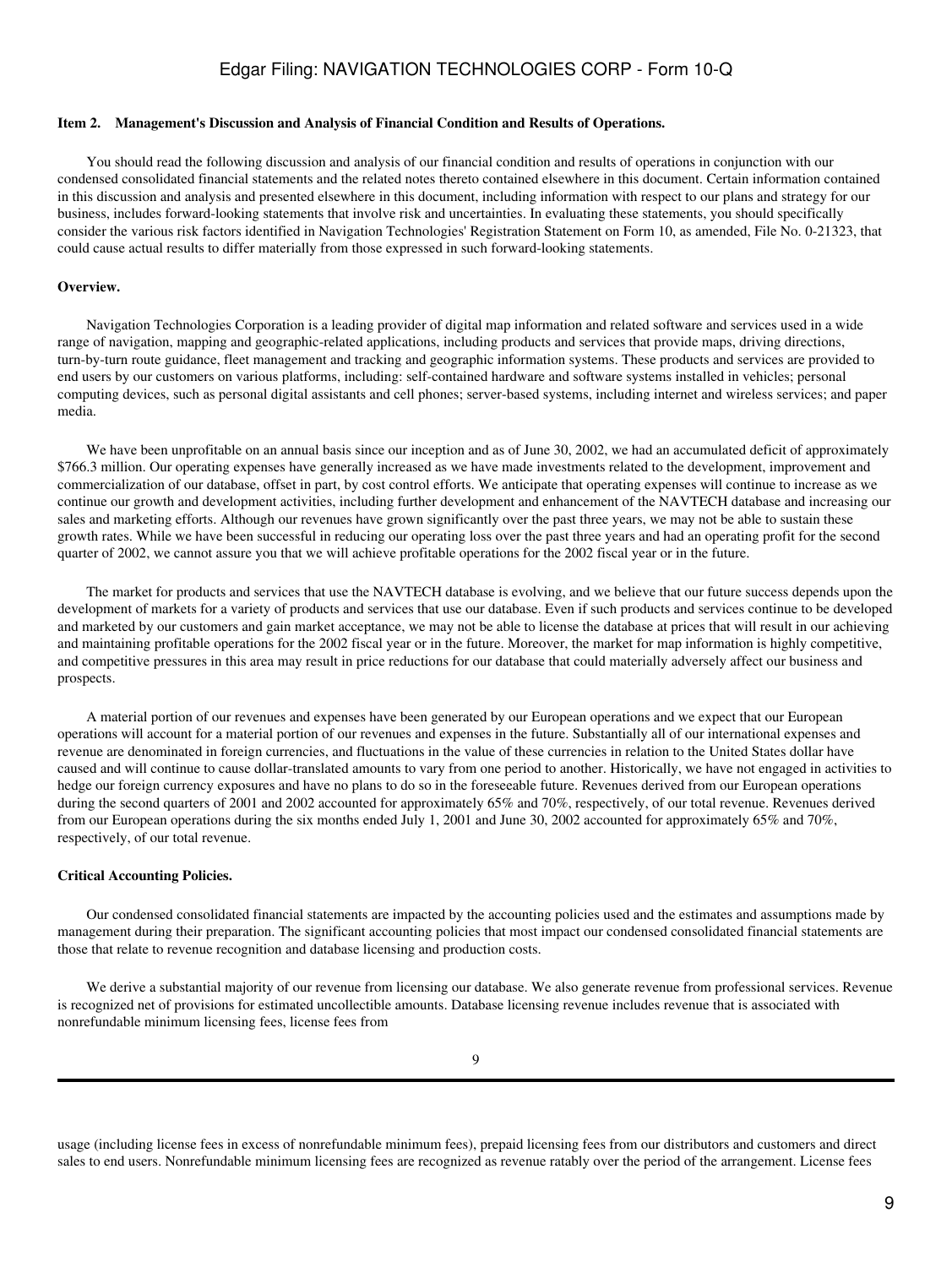## <span id="page-8-0"></span>**Item 2. Management's Discussion and Analysis of Financial Condition and Results of Operations.**

 You should read the following discussion and analysis of our financial condition and results of operations in conjunction with our condensed consolidated financial statements and the related notes thereto contained elsewhere in this document. Certain information contained in this discussion and analysis and presented elsewhere in this document, including information with respect to our plans and strategy for our business, includes forward-looking statements that involve risk and uncertainties. In evaluating these statements, you should specifically consider the various risk factors identified in Navigation Technologies' Registration Statement on Form 10, as amended, File No. 0-21323, that could cause actual results to differ materially from those expressed in such forward-looking statements.

#### **Overview.**

 Navigation Technologies Corporation is a leading provider of digital map information and related software and services used in a wide range of navigation, mapping and geographic-related applications, including products and services that provide maps, driving directions, turn-by-turn route guidance, fleet management and tracking and geographic information systems. These products and services are provided to end users by our customers on various platforms, including: self-contained hardware and software systems installed in vehicles; personal computing devices, such as personal digital assistants and cell phones; server-based systems, including internet and wireless services; and paper media.

We have been unprofitable on an annual basis since our inception and as of June 30, 2002, we had an accumulated deficit of approximately \$766.3 million. Our operating expenses have generally increased as we have made investments related to the development, improvement and commercialization of our database, offset in part, by cost control efforts. We anticipate that operating expenses will continue to increase as we continue our growth and development activities, including further development and enhancement of the NAVTECH database and increasing our sales and marketing efforts. Although our revenues have grown significantly over the past three years, we may not be able to sustain these growth rates. While we have been successful in reducing our operating loss over the past three years and had an operating profit for the second quarter of 2002, we cannot assure you that we will achieve profitable operations for the 2002 fiscal year or in the future.

 The market for products and services that use the NAVTECH database is evolving, and we believe that our future success depends upon the development of markets for a variety of products and services that use our database. Even if such products and services continue to be developed and marketed by our customers and gain market acceptance, we may not be able to license the database at prices that will result in our achieving and maintaining profitable operations for the 2002 fiscal year or in the future. Moreover, the market for map information is highly competitive, and competitive pressures in this area may result in price reductions for our database that could materially adversely affect our business and prospects.

 A material portion of our revenues and expenses have been generated by our European operations and we expect that our European operations will account for a material portion of our revenues and expenses in the future. Substantially all of our international expenses and revenue are denominated in foreign currencies, and fluctuations in the value of these currencies in relation to the United States dollar have caused and will continue to cause dollar-translated amounts to vary from one period to another. Historically, we have not engaged in activities to hedge our foreign currency exposures and have no plans to do so in the foreseeable future. Revenues derived from our European operations during the second quarters of 2001 and 2002 accounted for approximately 65% and 70%, respectively, of our total revenue. Revenues derived from our European operations during the six months ended July 1, 2001 and June 30, 2002 accounted for approximately 65% and 70%, respectively, of our total revenue.

#### **Critical Accounting Policies.**

 Our condensed consolidated financial statements are impacted by the accounting policies used and the estimates and assumptions made by management during their preparation. The significant accounting policies that most impact our condensed consolidated financial statements are those that relate to revenue recognition and database licensing and production costs.

 We derive a substantial majority of our revenue from licensing our database. We also generate revenue from professional services. Revenue is recognized net of provisions for estimated uncollectible amounts. Database licensing revenue includes revenue that is associated with nonrefundable minimum licensing fees, license fees from

usage (including license fees in excess of nonrefundable minimum fees), prepaid licensing fees from our distributors and customers and direct sales to end users. Nonrefundable minimum licensing fees are recognized as revenue ratably over the period of the arrangement. License fees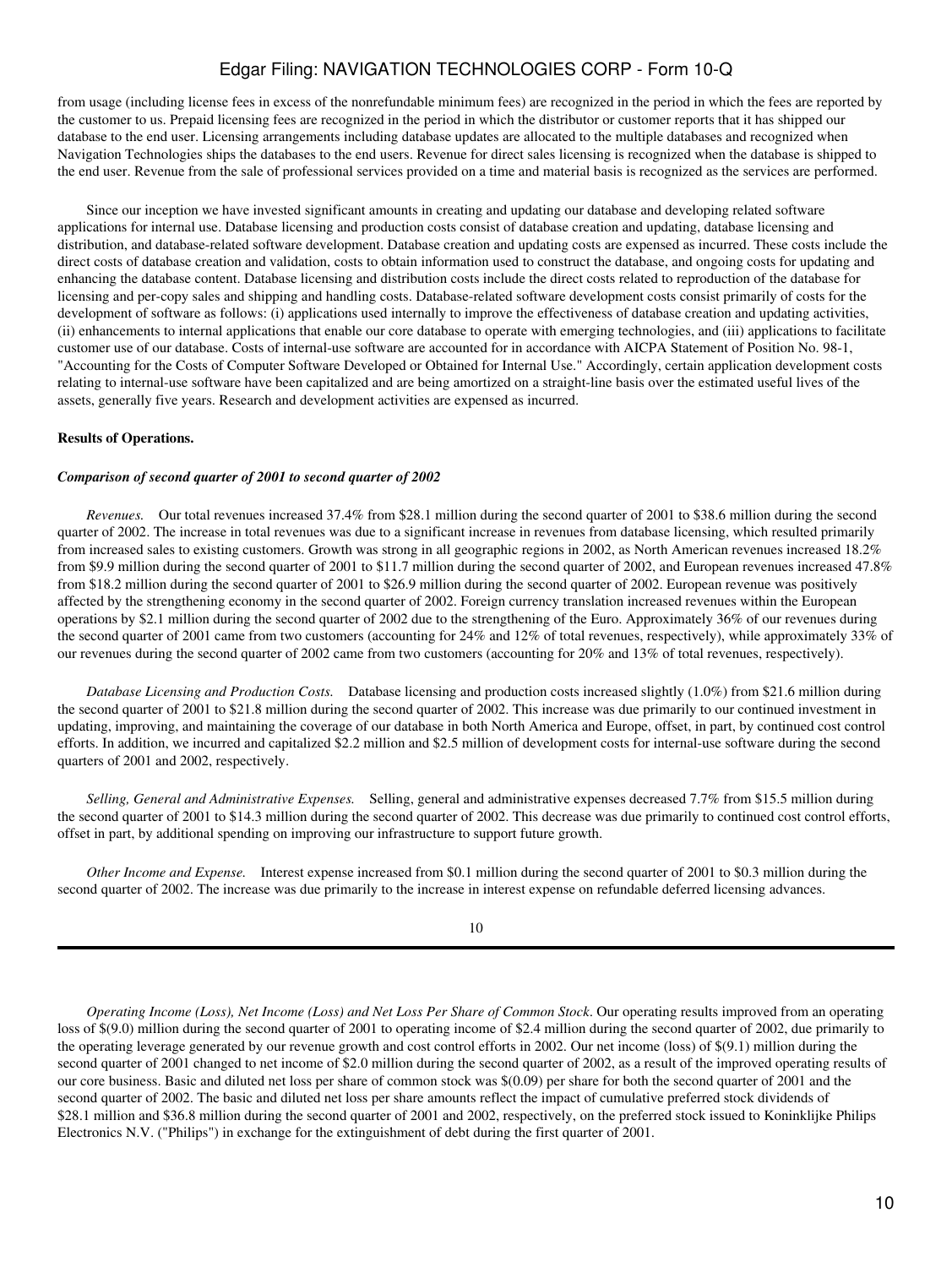from usage (including license fees in excess of the nonrefundable minimum fees) are recognized in the period in which the fees are reported by the customer to us. Prepaid licensing fees are recognized in the period in which the distributor or customer reports that it has shipped our database to the end user. Licensing arrangements including database updates are allocated to the multiple databases and recognized when Navigation Technologies ships the databases to the end users. Revenue for direct sales licensing is recognized when the database is shipped to the end user. Revenue from the sale of professional services provided on a time and material basis is recognized as the services are performed.

 Since our inception we have invested significant amounts in creating and updating our database and developing related software applications for internal use. Database licensing and production costs consist of database creation and updating, database licensing and distribution, and database-related software development. Database creation and updating costs are expensed as incurred. These costs include the direct costs of database creation and validation, costs to obtain information used to construct the database, and ongoing costs for updating and enhancing the database content. Database licensing and distribution costs include the direct costs related to reproduction of the database for licensing and per-copy sales and shipping and handling costs. Database-related software development costs consist primarily of costs for the development of software as follows: (i) applications used internally to improve the effectiveness of database creation and updating activities, (ii) enhancements to internal applications that enable our core database to operate with emerging technologies, and (iii) applications to facilitate customer use of our database. Costs of internal-use software are accounted for in accordance with AICPA Statement of Position No. 98-1, "Accounting for the Costs of Computer Software Developed or Obtained for Internal Use." Accordingly, certain application development costs relating to internal-use software have been capitalized and are being amortized on a straight-line basis over the estimated useful lives of the assets, generally five years. Research and development activities are expensed as incurred.

## **Results of Operations.**

#### *Comparison of second quarter of 2001 to second quarter of 2002*

 *Revenues.* Our total revenues increased 37.4% from \$28.1 million during the second quarter of 2001 to \$38.6 million during the second quarter of 2002. The increase in total revenues was due to a significant increase in revenues from database licensing, which resulted primarily from increased sales to existing customers. Growth was strong in all geographic regions in 2002, as North American revenues increased 18.2% from \$9.9 million during the second quarter of 2001 to \$11.7 million during the second quarter of 2002, and European revenues increased 47.8% from \$18.2 million during the second quarter of 2001 to \$26.9 million during the second quarter of 2002. European revenue was positively affected by the strengthening economy in the second quarter of 2002. Foreign currency translation increased revenues within the European operations by \$2.1 million during the second quarter of 2002 due to the strengthening of the Euro. Approximately 36% of our revenues during the second quarter of 2001 came from two customers (accounting for 24% and 12% of total revenues, respectively), while approximately 33% of our revenues during the second quarter of 2002 came from two customers (accounting for 20% and 13% of total revenues, respectively).

 *Database Licensing and Production Costs.* Database licensing and production costs increased slightly (1.0%) from \$21.6 million during the second quarter of 2001 to \$21.8 million during the second quarter of 2002. This increase was due primarily to our continued investment in updating, improving, and maintaining the coverage of our database in both North America and Europe, offset, in part, by continued cost control efforts. In addition, we incurred and capitalized \$2.2 million and \$2.5 million of development costs for internal-use software during the second quarters of 2001 and 2002, respectively.

 *Selling, General and Administrative Expenses.* Selling, general and administrative expenses decreased 7.7% from \$15.5 million during the second quarter of 2001 to \$14.3 million during the second quarter of 2002. This decrease was due primarily to continued cost control efforts, offset in part, by additional spending on improving our infrastructure to support future growth.

 *Other Income and Expense.* Interest expense increased from \$0.1 million during the second quarter of 2001 to \$0.3 million during the second quarter of 2002. The increase was due primarily to the increase in interest expense on refundable deferred licensing advances.

### 10

*Operating Income (Loss), Net Income (Loss) and Net Loss Per Share of Common Stock*. Our operating results improved from an operating loss of \$(9.0) million during the second quarter of 2001 to operating income of \$2.4 million during the second quarter of 2002, due primarily to the operating leverage generated by our revenue growth and cost control efforts in 2002. Our net income (loss) of \$(9.1) million during the second quarter of 2001 changed to net income of \$2.0 million during the second quarter of 2002, as a result of the improved operating results of our core business. Basic and diluted net loss per share of common stock was \$(0.09) per share for both the second quarter of 2001 and the second quarter of 2002. The basic and diluted net loss per share amounts reflect the impact of cumulative preferred stock dividends of \$28.1 million and \$36.8 million during the second quarter of 2001 and 2002, respectively, on the preferred stock issued to Koninklijke Philips Electronics N.V. ("Philips") in exchange for the extinguishment of debt during the first quarter of 2001.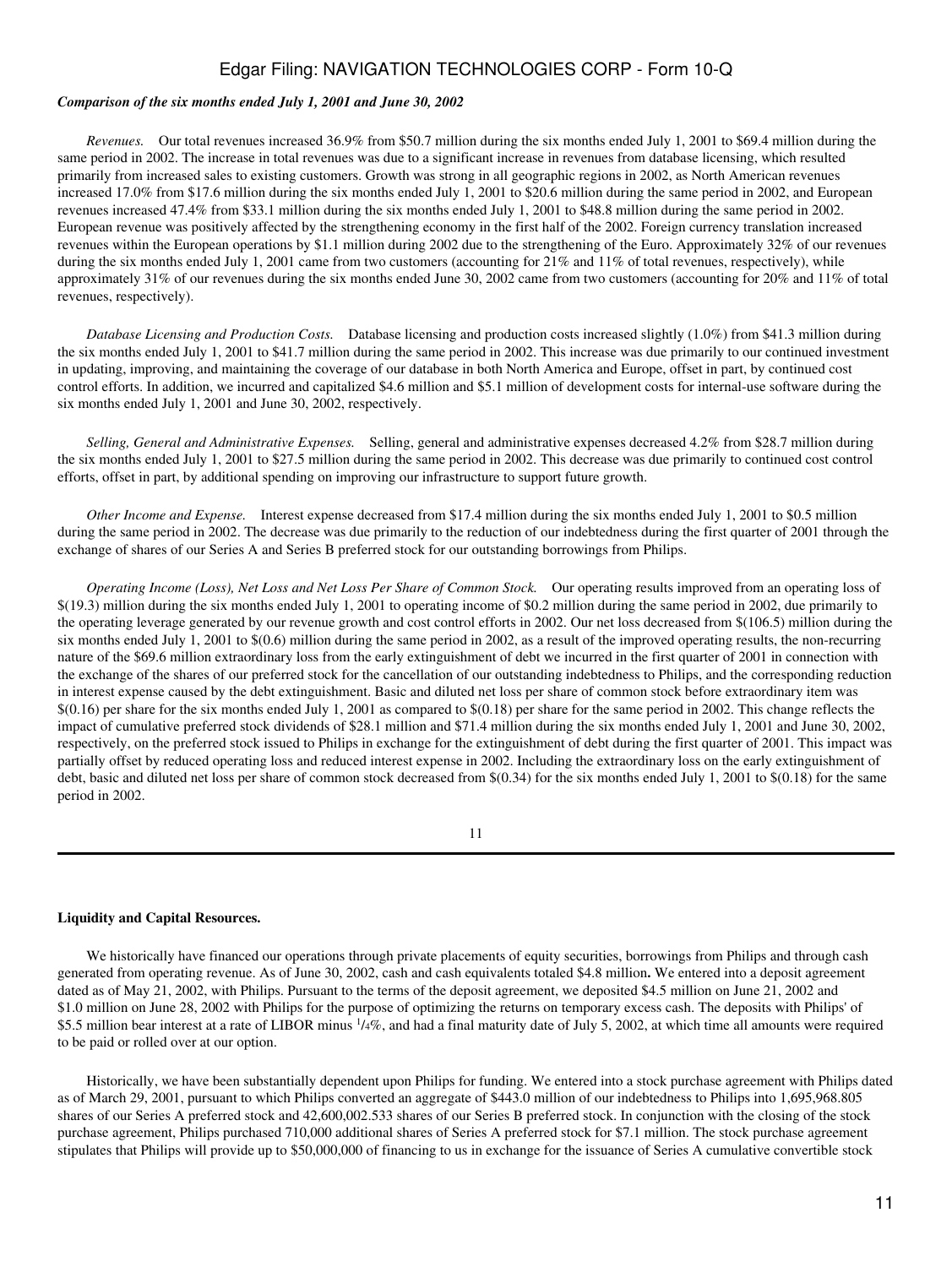#### *Comparison of the six months ended July 1, 2001 and June 30, 2002*

 *Revenues.* Our total revenues increased 36.9% from \$50.7 million during the six months ended July 1, 2001 to \$69.4 million during the same period in 2002. The increase in total revenues was due to a significant increase in revenues from database licensing, which resulted primarily from increased sales to existing customers. Growth was strong in all geographic regions in 2002, as North American revenues increased 17.0% from \$17.6 million during the six months ended July 1, 2001 to \$20.6 million during the same period in 2002, and European revenues increased 47.4% from \$33.1 million during the six months ended July 1, 2001 to \$48.8 million during the same period in 2002. European revenue was positively affected by the strengthening economy in the first half of the 2002. Foreign currency translation increased revenues within the European operations by \$1.1 million during 2002 due to the strengthening of the Euro. Approximately 32% of our revenues during the six months ended July 1, 2001 came from two customers (accounting for 21% and 11% of total revenues, respectively), while approximately 31% of our revenues during the six months ended June 30, 2002 came from two customers (accounting for 20% and 11% of total revenues, respectively).

 *Database Licensing and Production Costs.* Database licensing and production costs increased slightly (1.0%) from \$41.3 million during the six months ended July 1, 2001 to \$41.7 million during the same period in 2002. This increase was due primarily to our continued investment in updating, improving, and maintaining the coverage of our database in both North America and Europe, offset in part, by continued cost control efforts. In addition, we incurred and capitalized \$4.6 million and \$5.1 million of development costs for internal-use software during the six months ended July 1, 2001 and June 30, 2002, respectively.

 *Selling, General and Administrative Expenses.* Selling, general and administrative expenses decreased 4.2% from \$28.7 million during the six months ended July 1, 2001 to \$27.5 million during the same period in 2002. This decrease was due primarily to continued cost control efforts, offset in part, by additional spending on improving our infrastructure to support future growth.

 *Other Income and Expense.* Interest expense decreased from \$17.4 million during the six months ended July 1, 2001 to \$0.5 million during the same period in 2002. The decrease was due primarily to the reduction of our indebtedness during the first quarter of 2001 through the exchange of shares of our Series A and Series B preferred stock for our outstanding borrowings from Philips.

 *Operating Income (Loss), Net Loss and Net Loss Per Share of Common Stock.* Our operating results improved from an operating loss of \$(19.3) million during the six months ended July 1, 2001 to operating income of \$0.2 million during the same period in 2002, due primarily to the operating leverage generated by our revenue growth and cost control efforts in 2002. Our net loss decreased from \$(106.5) million during the six months ended July 1, 2001 to \$(0.6) million during the same period in 2002, as a result of the improved operating results, the non-recurring nature of the \$69.6 million extraordinary loss from the early extinguishment of debt we incurred in the first quarter of 2001 in connection with the exchange of the shares of our preferred stock for the cancellation of our outstanding indebtedness to Philips, and the corresponding reduction in interest expense caused by the debt extinguishment. Basic and diluted net loss per share of common stock before extraordinary item was  $$(0.16)$  per share for the six months ended July 1, 2001 as compared to  $$(0.18)$  per share for the same period in 2002. This change reflects the impact of cumulative preferred stock dividends of \$28.1 million and \$71.4 million during the six months ended July 1, 2001 and June 30, 2002, respectively, on the preferred stock issued to Philips in exchange for the extinguishment of debt during the first quarter of 2001. This impact was partially offset by reduced operating loss and reduced interest expense in 2002. Including the extraordinary loss on the early extinguishment of debt, basic and diluted net loss per share of common stock decreased from \$(0.34) for the six months ended July 1, 2001 to \$(0.18) for the same period in 2002.

11

# **Liquidity and Capital Resources.**

 We historically have financed our operations through private placements of equity securities, borrowings from Philips and through cash generated from operating revenue. As of June 30, 2002, cash and cash equivalents totaled \$4.8 million**.** We entered into a deposit agreement dated as of May 21, 2002, with Philips. Pursuant to the terms of the deposit agreement, we deposited \$4.5 million on June 21, 2002 and \$1.0 million on June 28, 2002 with Philips for the purpose of optimizing the returns on temporary excess cash. The deposits with Philips' of \$5.5 million bear interest at a rate of LIBOR minus  $\frac{1}{4}\%$ , and had a final maturity date of July 5, 2002, at which time all amounts were required to be paid or rolled over at our option.

 Historically, we have been substantially dependent upon Philips for funding. We entered into a stock purchase agreement with Philips dated as of March 29, 2001, pursuant to which Philips converted an aggregate of \$443.0 million of our indebtedness to Philips into 1,695,968.805 shares of our Series A preferred stock and 42,600,002.533 shares of our Series B preferred stock. In conjunction with the closing of the stock purchase agreement, Philips purchased 710,000 additional shares of Series A preferred stock for \$7.1 million. The stock purchase agreement stipulates that Philips will provide up to \$50,000,000 of financing to us in exchange for the issuance of Series A cumulative convertible stock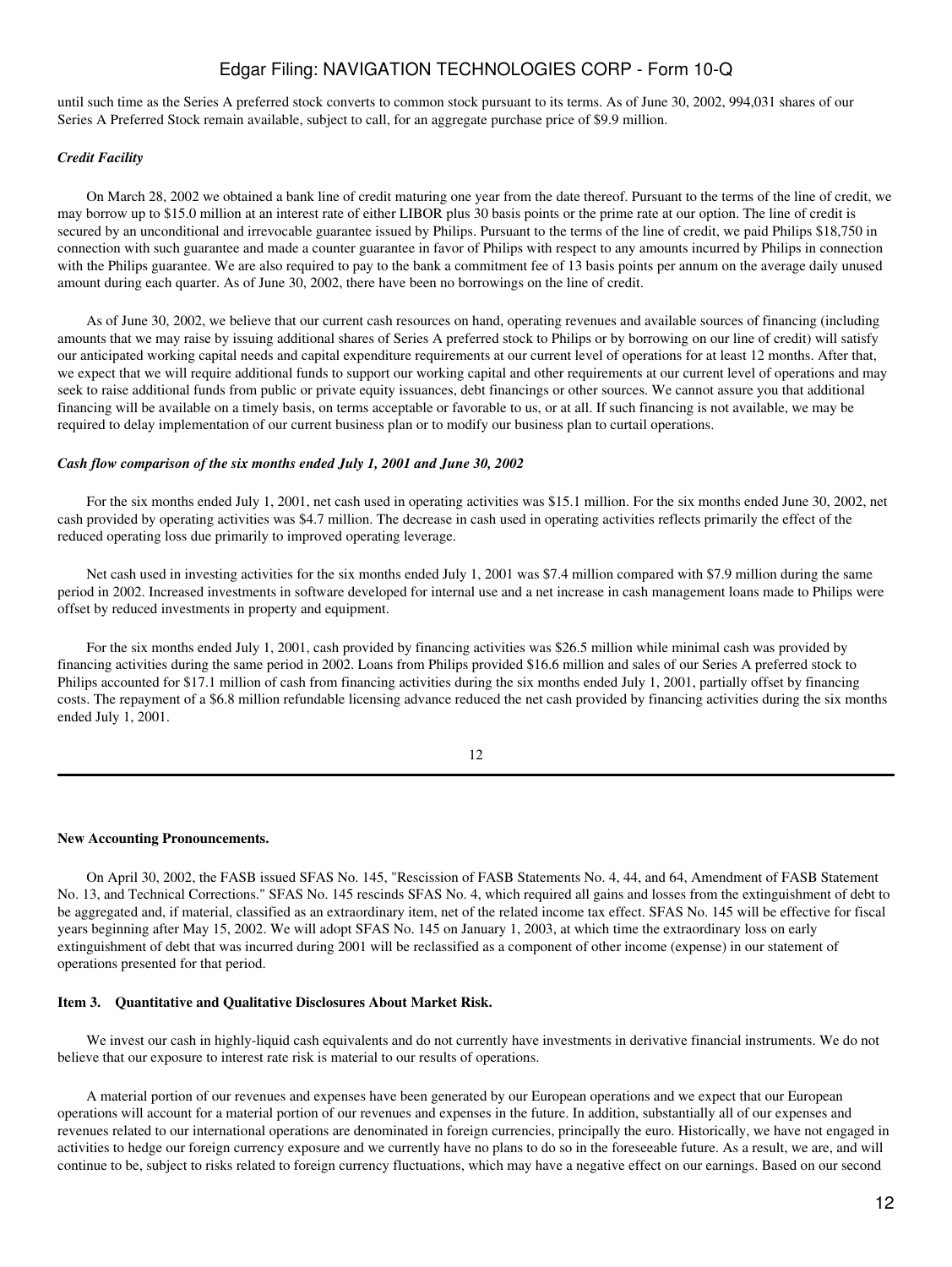until such time as the Series A preferred stock converts to common stock pursuant to its terms. As of June 30, 2002, 994,031 shares of our Series A Preferred Stock remain available, subject to call, for an aggregate purchase price of \$9.9 million.

# *Credit Facility*

 On March 28, 2002 we obtained a bank line of credit maturing one year from the date thereof. Pursuant to the terms of the line of credit, we may borrow up to \$15.0 million at an interest rate of either LIBOR plus 30 basis points or the prime rate at our option. The line of credit is secured by an unconditional and irrevocable guarantee issued by Philips. Pursuant to the terms of the line of credit, we paid Philips \$18,750 in connection with such guarantee and made a counter guarantee in favor of Philips with respect to any amounts incurred by Philips in connection with the Philips guarantee. We are also required to pay to the bank a commitment fee of 13 basis points per annum on the average daily unused amount during each quarter. As of June 30, 2002, there have been no borrowings on the line of credit.

 As of June 30, 2002, we believe that our current cash resources on hand, operating revenues and available sources of financing (including amounts that we may raise by issuing additional shares of Series A preferred stock to Philips or by borrowing on our line of credit) will satisfy our anticipated working capital needs and capital expenditure requirements at our current level of operations for at least 12 months. After that, we expect that we will require additional funds to support our working capital and other requirements at our current level of operations and may seek to raise additional funds from public or private equity issuances, debt financings or other sources. We cannot assure you that additional financing will be available on a timely basis, on terms acceptable or favorable to us, or at all. If such financing is not available, we may be required to delay implementation of our current business plan or to modify our business plan to curtail operations.

## *Cash flow comparison of the six months ended July 1, 2001 and June 30, 2002*

 For the six months ended July 1, 2001, net cash used in operating activities was \$15.1 million. For the six months ended June 30, 2002, net cash provided by operating activities was \$4.7 million. The decrease in cash used in operating activities reflects primarily the effect of the reduced operating loss due primarily to improved operating leverage.

 Net cash used in investing activities for the six months ended July 1, 2001 was \$7.4 million compared with \$7.9 million during the same period in 2002. Increased investments in software developed for internal use and a net increase in cash management loans made to Philips were offset by reduced investments in property and equipment.

 For the six months ended July 1, 2001, cash provided by financing activities was \$26.5 million while minimal cash was provided by financing activities during the same period in 2002. Loans from Philips provided \$16.6 million and sales of our Series A preferred stock to Philips accounted for \$17.1 million of cash from financing activities during the six months ended July 1, 2001, partially offset by financing costs. The repayment of a \$6.8 million refundable licensing advance reduced the net cash provided by financing activities during the six months ended July 1, 2001.

12

#### **New Accounting Pronouncements.**

 On April 30, 2002, the FASB issued SFAS No. 145, "Rescission of FASB Statements No. 4, 44, and 64, Amendment of FASB Statement No. 13, and Technical Corrections." SFAS No. 145 rescinds SFAS No. 4, which required all gains and losses from the extinguishment of debt to be aggregated and, if material, classified as an extraordinary item, net of the related income tax effect. SFAS No. 145 will be effective for fiscal years beginning after May 15, 2002. We will adopt SFAS No. 145 on January 1, 2003, at which time the extraordinary loss on early extinguishment of debt that was incurred during 2001 will be reclassified as a component of other income (expense) in our statement of operations presented for that period.

# **Item 3. Quantitative and Qualitative Disclosures About Market Risk.**

We invest our cash in highly-liquid cash equivalents and do not currently have investments in derivative financial instruments. We do not believe that our exposure to interest rate risk is material to our results of operations.

 A material portion of our revenues and expenses have been generated by our European operations and we expect that our European operations will account for a material portion of our revenues and expenses in the future. In addition, substantially all of our expenses and revenues related to our international operations are denominated in foreign currencies, principally the euro. Historically, we have not engaged in activities to hedge our foreign currency exposure and we currently have no plans to do so in the foreseeable future. As a result, we are, and will continue to be, subject to risks related to foreign currency fluctuations, which may have a negative effect on our earnings. Based on our second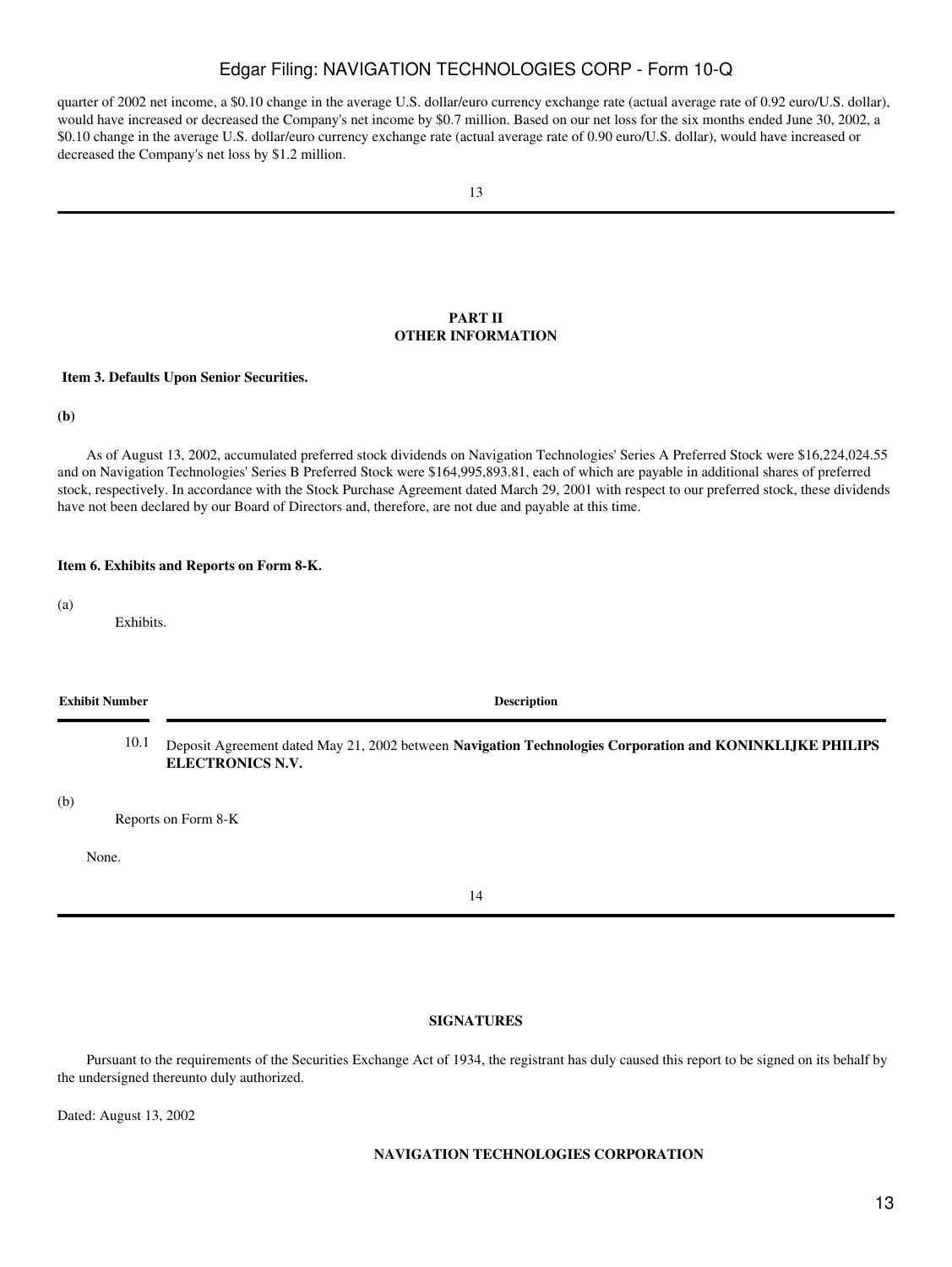quarter of 2002 net income, a \$0.10 change in the average U.S. dollar/euro currency exchange rate (actual average rate of 0.92 euro/U.S. dollar), would have increased or decreased the Company's net income by \$0.7 million. Based on our net loss for the six months ended June 30, 2002, a \$0.10 change in the average U.S. dollar/euro currency exchange rate (actual average rate of 0.90 euro/U.S. dollar), would have increased or decreased the Company's net loss by \$1.2 million.

## **PART II OTHER INFORMATION**

#### <span id="page-12-1"></span><span id="page-12-0"></span>**Item 3. Defaults Upon Senior Securities.**

**(b)**

 As of August 13, 2002, accumulated preferred stock dividends on Navigation Technologies' Series A Preferred Stock were \$16,224,024.55 and on Navigation Technologies' Series B Preferred Stock were \$164,995,893.81, each of which are payable in additional shares of preferred stock, respectively. In accordance with the Stock Purchase Agreement dated March 29, 2001 with respect to our preferred stock, these dividends have not been declared by our Board of Directors and, therefore, are not due and payable at this time.

#### <span id="page-12-2"></span>**Item 6. Exhibits and Reports on Form 8-K.**

(a)

Exhibits.

| <b>Exhibit Number</b> | <b>Description</b> |
|-----------------------|--------------------|
|-----------------------|--------------------|

10.1 Deposit Agreement dated May 21, 2002 between **Navigation Technologies Corporation and KONINKLIJKE PHILIPS ELECTRONICS N.V.**

(b)

Reports on Form 8-K

None.

# **SIGNATURES**

<span id="page-12-3"></span> Pursuant to the requirements of the Securities Exchange Act of 1934, the registrant has duly caused this report to be signed on its behalf by the undersigned thereunto duly authorized.

Dated: August 13, 2002

# **NAVIGATION TECHNOLOGIES CORPORATION**